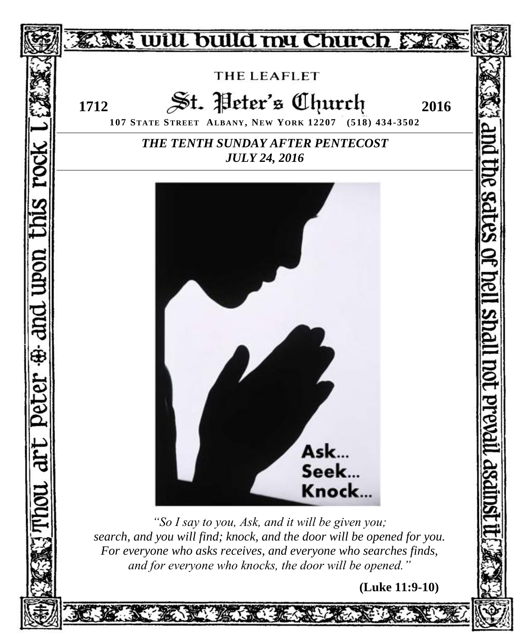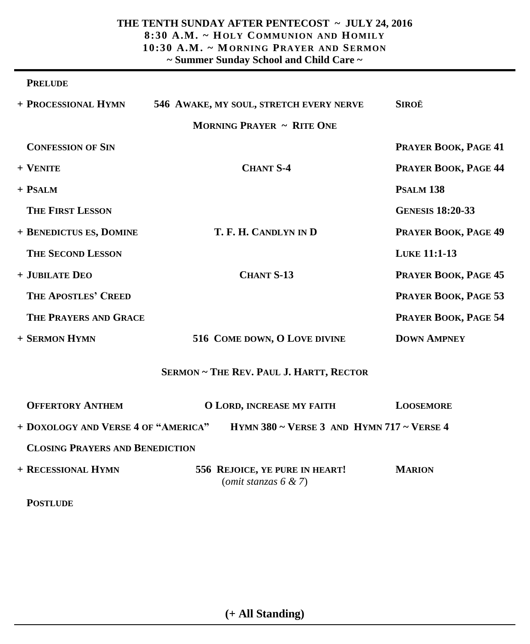### **THE TENTH SUNDAY AFTER PENTECOST ~ JULY 24, 2016 8:30 A.M. ~ HOLY COMMUNION AND HOMILY 10:30 A.M . ~ MORNING PRAYER AND SERMON ~ Summer Sunday School and Child Care ~**

#### **PRELUDE**

| + PROCESSIONAL HYMN                    | 546 AWAKE, MY SOUL, STRETCH EVERY NERVE                   | <b>SIROË</b>            |
|----------------------------------------|-----------------------------------------------------------|-------------------------|
|                                        | <b>MORNING PRAYER ~ RITE ONE</b>                          |                         |
| <b>CONFESSION OF SIN</b>               |                                                           | PRAYER BOOK, PAGE 41    |
| + VENITE                               | <b>CHANT S-4</b>                                          | PRAYER BOOK, PAGE 44    |
| + PSALM                                |                                                           | <b>PSALM 138</b>        |
| <b>THE FIRST LESSON</b>                |                                                           | <b>GENESIS 18:20-33</b> |
| + BENEDICTUS ES, DOMINE                | T. F. H. CANDLYN IN D                                     | PRAYER BOOK, PAGE 49    |
| <b>THE SECOND LESSON</b>               |                                                           | LUKE 11:1-13            |
| + JUBILATE DEO                         | <b>CHANT S-13</b>                                         | PRAYER BOOK, PAGE 45    |
| <b>THE APOSTLES' CREED</b>             |                                                           | PRAYER BOOK, PAGE 53    |
| <b>THE PRAYERS AND GRACE</b>           |                                                           | PRAYER BOOK, PAGE 54    |
| + SERMON HYMN                          | 516 COME DOWN, O LOVE DIVINE                              | <b>DOWN AMPNEY</b>      |
|                                        | SERMON ~ THE REV. PAUL J. HARTT, RECTOR                   |                         |
| <b>OFFERTORY ANTHEM</b>                | <b>O LORD, INCREASE MY FAITH</b>                          | <b>LOOSEMORE</b>        |
| + DOXOLOGY AND VERSE 4 OF "AMERICA"    | HYMN 380 $\sim$ VERSE 3 AND HYMN 717 $\sim$ VERSE 4       |                         |
| <b>CLOSING PRAYERS AND BENEDICTION</b> |                                                           |                         |
| + RECESSIONAL HYMN                     | 556 REJOICE, YE PURE IN HEART!<br>(omit stanzas $6 & 7$ ) | <b>MARION</b>           |
| <b>POSTLUDE</b>                        |                                                           |                         |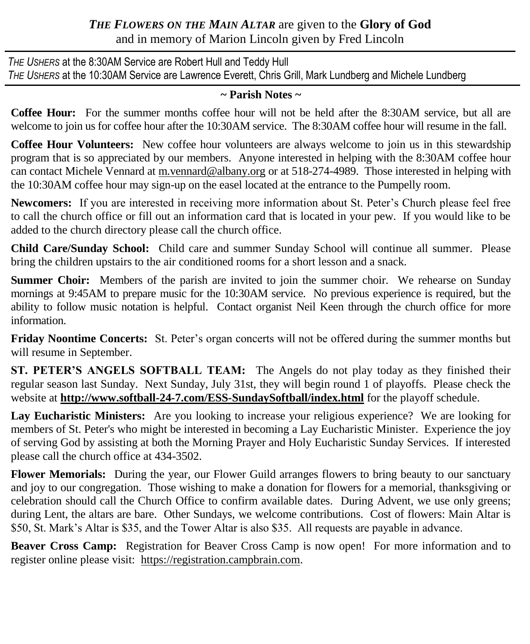# *THE FLOWERS ON THE MAIN ALTAR* are given to the **Glory of God** and in memory of Marion Lincoln given by Fred Lincoln

*THE USHERS* at the 8:30AM Service are Robert Hull and Teddy Hull *THE USHERS* at the 10:30AM Service are Lawrence Everett, Chris Grill, Mark Lundberg and Michele Lundberg

### **~ Parish Notes ~**

**Coffee Hour:** For the summer months coffee hour will not be held after the 8:30AM service, but all are welcome to join us for coffee hour after the 10:30AM service. The 8:30AM coffee hour will resume in the fall.

**Coffee Hour Volunteers:** New coffee hour volunteers are always welcome to join us in this stewardship program that is so appreciated by our members. Anyone interested in helping with the 8:30AM coffee hour can contact Michele Vennard at [m.vennard@albany.org](mailto:m.vennard@albany.org) or at 518-274-4989. Those interested in helping with the 10:30AM coffee hour may sign-up on the easel located at the entrance to the Pumpelly room.

**Newcomers:** If you are interested in receiving more information about St. Peter's Church please feel free to call the church office or fill out an information card that is located in your pew. If you would like to be added to the church directory please call the church office.

**Child Care/Sunday School:** Child care and summer Sunday School will continue all summer. Please bring the children upstairs to the air conditioned rooms for a short lesson and a snack.

**Summer Choir:** Members of the parish are invited to join the summer choir. We rehearse on Sunday mornings at 9:45AM to prepare music for the 10:30AM service. No previous experience is required, but the ability to follow music notation is helpful. Contact organist Neil Keen through the church office for more information.

**Friday Noontime Concerts:** St. Peter's organ concerts will not be offered during the summer months but will resume in September.

**ST. PETER'S ANGELS SOFTBALL TEAM:** The Angels do not play today as they finished their regular season last Sunday. Next Sunday, July 31st, they will begin round 1 of playoffs. Please check the website at **http://www.softball-24-7.com/ESS-SundaySoftball/index.html** for the playoff schedule.

**Lay Eucharistic Ministers:** Are you looking to increase your religious experience? We are looking for members of St. Peter's who might be interested in becoming a Lay Eucharistic Minister. Experience the joy of serving God by assisting at both the Morning Prayer and Holy Eucharistic Sunday Services. If interested please call the church office at 434-3502.

**Flower Memorials:** During the year, our Flower Guild arranges flowers to bring beauty to our sanctuary and joy to our congregation. Those wishing to make a donation for flowers for a memorial, thanksgiving or celebration should call the Church Office to confirm available dates. During Advent, we use only greens; during Lent, the altars are bare. Other Sundays, we welcome contributions. Cost of flowers: Main Altar is \$50, St. Mark's Altar is \$35, and the Tower Altar is also \$35. All requests are payable in advance.

**Beaver Cross Camp:** Registration for Beaver Cross Camp is now open! For more information and to register online please visit: https://registration.campbrain.com.